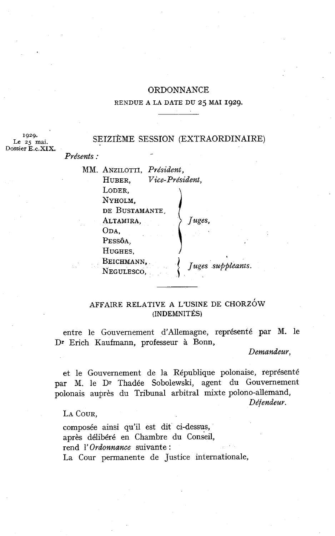# ORDONNANCE

### RENDUE A LA DATE DU **25** MAI **1929.**

# SEIZIÈME SESSION (EXTRAORDINAIRE)

**1929.**  Dossier **E.c.XIX.** 

Présents : MM. ANZILOTTI, Président, HUBER, Vice-Président, LODER, NYHOLM, DE BUSTAMANTE, ALTAMIRA,  $\qquad \qquad$  Juges, ODA. PESSÔA, HUGHES, BEICHMANN.

NEGULESCO,

AFFAIRE RELATIVE A L'USINE DE CHORZÓW (INDEMNITÉS)

Juges suppleants.

entre le Gouvernement d'Allemagne, représenté par M. le Dr Erich Kaufmann, professeur à Bonn,

Demandeur,

et le Gouvernement de la République polonaise, représenté par M. le Dr Thadée Sobolewski, agent du Gouvernement polonais auprès du Tribunal arbitral mixte polono-allemand,

Défendeur.

LA COUR,

composée ainsi qu'il est dit ci-dessus, après délibéré en Chambre du conseil, rend 1' Ordonnance suivante : La Cour permanente de Justice internationale,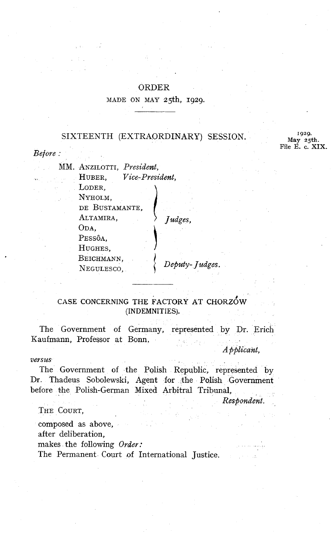# ORDER

#### MADE ON MAY 25th, 1929.

# SIXTEENTH (EXTRAORDINARY) SESSION. May  $^{1929}$ . May  $^{25}$ th.

File E. **c. XIX.** 

#### Before :

MM. ANZILOTTI, President, HUBER, Vice-President, LODER, NYHOLM, DE BUSTAMANTE, ALTAMIRA,  $\longrightarrow$  Judges, ODA, PESSÔA, HUGHES, BEICHMANN,  $N$ EGULESCO,  $Deputy-Judges.$ 

# CASE CONCERNING THE FACTORY AT CHORZOW (INDEMNITIES).

The Government of Germany, represented by Dr. Erich Kaufmann, Professor at Bonn.

*A* pplicant,

#### versus

The Government of the Polish Republic, represented by Dr. Thadeus Sobolewski, Agent for the Polish Government before the Polish-German Mixed Arbitral Tribunal,

Respondent.

## THE COURT,

composed as above, after deliberation, makes the following Order:

The Permanent Court of International Justice.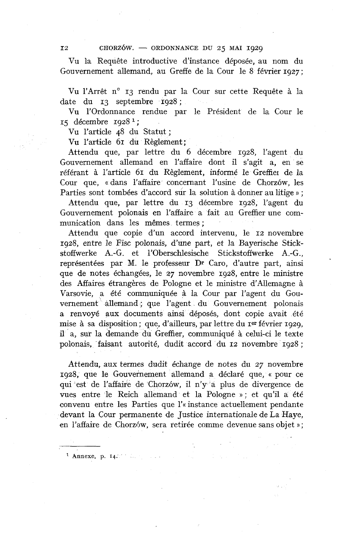$12$  CHORZÓW. - ORDONNANCE DU 25 MAI 1929

Vu la Requête introductive d'instance déposée, au nom du Gouvernement allemand, au Greffe de la Cour le 8 février 1927;

Vu l'Arrêt n° 13 rendu par la Cour sur cette Requête à la date du 13 septembre 1928;

Vu l'ordonnance rendue par le Président de la Cour le 15 décembre 1928 **l;** 

Vu l'article 48 du Statut ;

Vu l'article 61 du Règlement ;

Attendu que, par lettre du 6 décembre 1928, l'agent du Gouvernement allemand en l'affaire dont il s'agit a, en se référant à l'article 61 du Règlement, informé le Greffier de la Cour que, «dans l'affaire concernant l'usine de Chorzów, les Parties sont tombées d'accord sur la solution à donner au litige » ;

Attendu que, par lettre du 13 décembre 1928, l'agent du Gouvernement polonais en l'affaire a fait au Greffier une communication dans les mêmes termes ;

Attendu que copie d'un accord intervenu, le 12 novembre 1928, entre le Fisc polonais, d'une part, el la Bayerische Stickstoffwerke A.-G. et 1'Oberschlesische Stickstoffwerke A.-G., représentées par M. le professeur Dr Caro, d'autre part, ainsi que de notes échangées, le 27 novembre 1928, entre le ministre des Affaires étrangères de Pologne et le ministre d'Allemagne à Varsovie, a été communiquée à la Cour par l'agent du Gouvernement allemand; que l'agent du Gouvernement polonais a renvoyé aux documents ainsi déposés, dont copie avait été mise à sa disposition; que, d'ailleurs, par lettre du rer février 1929, il a, sur la demande du Greffier, communiqué à celui-ci le texte polonais, faisant autorité, dudit accord du 12 novembre 1928 ;

Attendu, aux termes dudit échange de notes du 37 novembre 1928, que le Gouvernement allemand a déclaré que, « pour ce qui est de l'affaire de Chorzów, il n'y a plus de divergence de vues entre le Reich allemand et la Pologne » ; et qu'il a été convenu entre les Parties que l'« instance actuellement pendante devant la Cour permanente de Justice internationale de La Haye, en l'affaire de Chorzów, sera retirée comme devenue sans objet »;

Annexe, **p. 14.**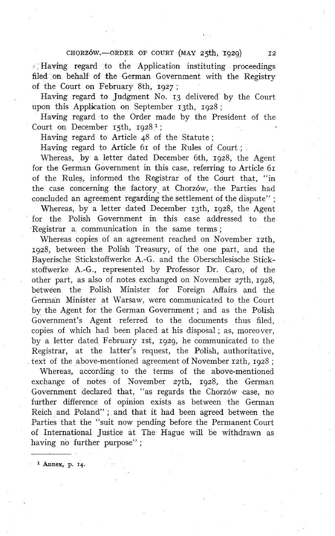CHORZÓW,-ORDER OF COURT (MAY 25th, 1929)

- Having regard to the Application instituting proceedings filed on behalf of the German Government with the Registry of the Court on February 8th, 1927 ;

Having regard to Judgment No. **13** delivered by the Court upon this Application on September 13th, 1928 ;

Having regard to the Order made by the President of the Court on December 15th, 1928<sup>1</sup>;

Having regard to Article 48 of the Statute ;

Having regard to Article 61 of the Rules of Court :

Whereas, by a letter dated December 6th, 1928, the Agent for the German Government in this case, referring to Article 61 of the Rules, informed the Registrar of the Court that, "in the case concerning the factory at Chorzów, the Parties had concluded an agreement regarding the settlement of the dispute" ;

Whereas, by a letter dated December 13th, 1928, the Agent for the Polish Government in this case addressed to the Registrar a communication in the same terms ;

Whereas copies of an agreement reached on November 12th, 1928, between the Polish Treasury, of the one part, and the Bayerische Stickstoffwerke A.-G. and the Oberschlesische Stickstoffwerke A.-G., represented by Professor Dr. Caro, of the other part, as also of notes exchanged on November 27th, 1928, between the Polish Minister for Foreign Affairs and the German Minister at Warsaw, were communicated to the Court by the Agent for the German Government ; and as the Polish Government's Agent referred to the documents thus filed, copies of which had been placed at his disposa1 ; as, moreover, by a letter dated February 1st, 1929, he communicated to the Registrar, at the latter's request, the Polish, authoritative, text of the above-mentioned agreement of November  $r_2$ th,  $r_1q_23$ ;

U'hereas, according to the terms of the above-mentioned exchange of notes of November  $27th$ , 1928, the German Government declared that, "as regards the Chorzow case, no further difference of opinion exists as between the German Reich and Poland" ; and that it had been agreed between the Parties that the "suit now pending before the Permanent Court of International Justice at The Hague will be withdrawn as having no further purpose";

**Annex, p. 14.**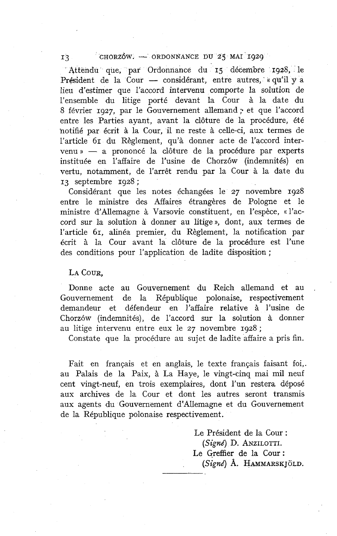# I3 CHORZOW. - ORDONNANCE DU 25 MAI 1929

'Attendu que, par Ordonnance du 15 décembre 1928, le Président de la Cour - considérant, entre autres, **c** qu'il y a<br>Président de la Cour - considérant, entre autres, **c** qu'il y a lieu d'estimer que I'accord intervenu comporte la solution de l'ensemble du litige porté devant la Cour à la date du 8 février 1927, par le Gouvernement allemand ; et que l'accord entre les Parties ayant, avant la clôture de la procédure, été hotifié par écrit à la Cour, il ne reste à celle-ci, aux termes de l'article 61 du Règlement, qu'à donner acte de l'accord inter $v$ enu »  $-$  a prononcé la clôture de la procédure par experts instituée en l'affaire de l'usine de Chorzów (indemnités) en vertu, notamment, de l'arrêt rendu par la Cour à la date du **<sup>13</sup>**septembre 1928 ;

Considérant que les notes échangées le 27 novembre 1928 entre le ministre des Affaires étrangères de Pologne et le ministre d'Allemagne à Varsovie constituent, en l'espèce, « l'accord sur la solution à donner au litige », dont, aux termes de l'article 61, alinéa premier, du Règlement, la notification par écrit à la Cour avant la clôture de la procédure est l'une des conditions pour l'application de ladite disposition ;

## LA COUR.

Donne acte au Gouvernement du Reich allemand et au . Gouvernement de la République polonaise, respectivement demandeur et défendeur en l'affaire relative à l'usine de Chorzów (indemnités), de l'accord sur la solution à donner au litige intervenu entre eux le 27 novembre 1928 ;

Constate que la procédure au sujet de ladite affaire a pris fin.

Fait en français et en anglais, le texte français faisant foi,. au Palais de la Paix, à La Haye, le vingt-cinq mai mil neuf cent vingt-neuf, en trois exemplaires, dont l'un restera déposé aux archives de la Cour et dont les autres seront transmis aux agents du Gouvernement d'Ailemagne et du Gouvernement de la République polonaise respectivement.

> Le Président de la Cour : *(Signd)* D. ANZILOTTI. Le Greffier de la Cour : *(Signd)* **A.** HAMMARSK **JOLD.**  Le<br>(.<br>Le<br>(.